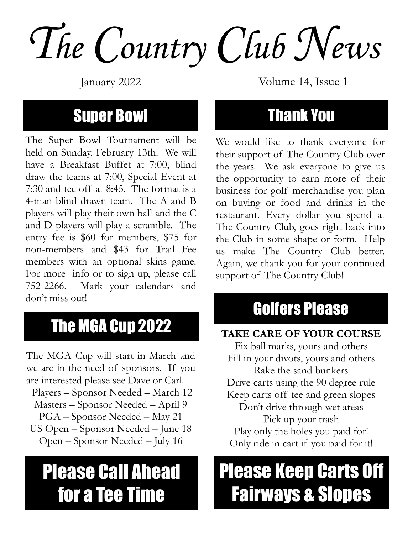The Country Club News

#### Super Bowl

The Super Bowl Tournament will be held on Sunday, February 13th. We will have a Breakfast Buffet at 7:00, blind draw the teams at 7:00, Special Event at 7:30 and tee off at 8:45. The format is a 4-man blind drawn team. The A and B players will play their own ball and the C and D players will play a scramble. The entry fee is \$60 for members, \$75 for non-members and \$43 for Trail Fee members with an optional skins game. For more info or to sign up, please call 752-2266. Mark your calendars and don't miss out!

#### The MGA Cup 2022

The MGA Cup will start in March and we are in the need of sponsors. If you are interested please see Dave or Carl. Players – Sponsor Needed – March 12 Masters – Sponsor Needed – April 9 PGA – Sponsor Needed – May 21 US Open – Sponsor Needed – June 18 Open – Sponsor Needed – July 16

### Please Call Ahead for a Tee Time

January 2022 Volume 14, Issue 1

#### Thank You

We would like to thank everyone for their support of The Country Club over the years. We ask everyone to give us the opportunity to earn more of their business for golf merchandise you plan on buying or food and drinks in the restaurant. Every dollar you spend at The Country Club, goes right back into the Club in some shape or form. Help us make The Country Club better. Again, we thank you for your continued support of The Country Club!

#### Golfers Please

#### TAKE CARE OF YOUR COURSE

Fix ball marks, yours and others Fill in your divots, yours and others Rake the sand bunkers Drive carts using the 90 degree rule Keep carts off tee and green slopes Don't drive through wet areas Pick up your trash Play only the holes you paid for! Only ride in cart if you paid for it!

## Please Keep Carts Off Fairways & Slopes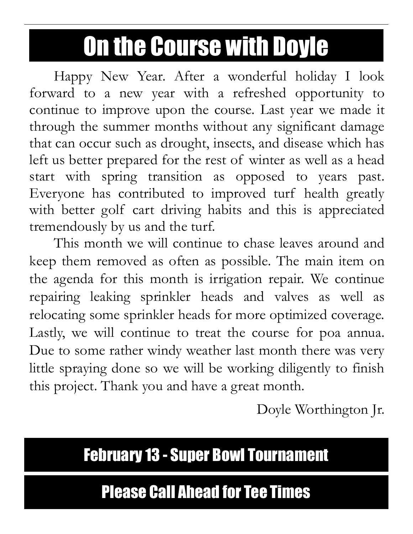# On the Course with Doyle

Happy New Year. After a wonderful holiday I look forward to a new year with a refreshed opportunity to continue to improve upon the course. Last year we made it through the summer months without any significant damage that can occur such as drought, insects, and disease which has left us better prepared for the rest of winter as well as a head start with spring transition as opposed to years past. Everyone has contributed to improved turf health greatly with better golf cart driving habits and this is appreciated tremendously by us and the turf.

 This month we will continue to chase leaves around and keep them removed as often as possible. The main item on the agenda for this month is irrigation repair. We continue repairing leaking sprinkler heads and valves as well as relocating some sprinkler heads for more optimized coverage. Lastly, we will continue to treat the course for poa annua. Due to some rather windy weather last month there was very little spraying done so we will be working diligently to finish this project. Thank you and have a great month.

Doyle Worthington Jr.

#### February 13 - Super Bowl Tournament

#### Please Call Ahead for Tee Times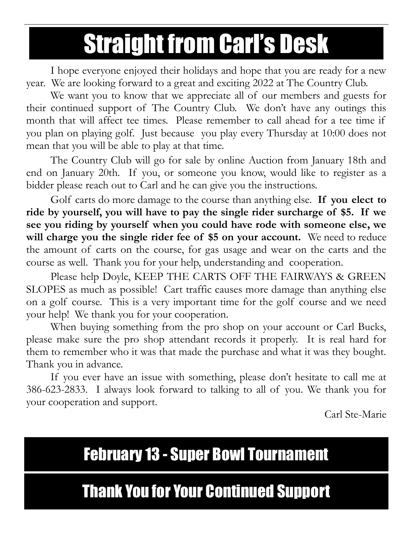# Straight from Carl's Desk

I hope everyone enjoyed their holidays and hope that you are ready for a new year. We are looking forward to a great and exciting 2022 at The Country Club.

 We want you to know that we appreciate all of our members and guests for their continued support of The Country Club. We don't have any outings this month that will affect tee times. Please remember to call ahead for a tee time if you plan on playing golf. Just because you play every Thursday at 10:00 does not mean that you will be able to play at that time.

 The Country Club will go for sale by online Auction from January 18th and end on January 20th. If you, or someone you know, would like to register as a bidder please reach out to Carl and he can give you the instructions.

Golf carts do more damage to the course than anything else. If you elect to ride by yourself, you will have to pay the single rider surcharge of \$5. If we see you riding by yourself when you could have rode with someone else, we will charge you the single rider fee of \$5 on your account. We need to reduce the amount of carts on the course, for gas usage and wear on the carts and the course as well. Thank you for your help, understanding and cooperation.

 Please help Doyle, KEEP THE CARTS OFF THE FAIRWAYS & GREEN SLOPES as much as possible! Cart traffic causes more damage than anything else on a golf course. This is a very important time for the golf course and we need your help! We thank you for your cooperation.

 When buying something from the pro shop on your account or Carl Bucks, please make sure the pro shop attendant records it properly. It is real hard for them to remember who it was that made the purchase and what it was they bought. Thank you in advance.

 If you ever have an issue with something, please don't hesitate to call me at 386-623-2833. I always look forward to talking to all of you. We thank you for your cooperation and support.

Carl Ste-Marie

#### February 13 - Super Bowl Tournament

#### Thank You for Your Continued Support